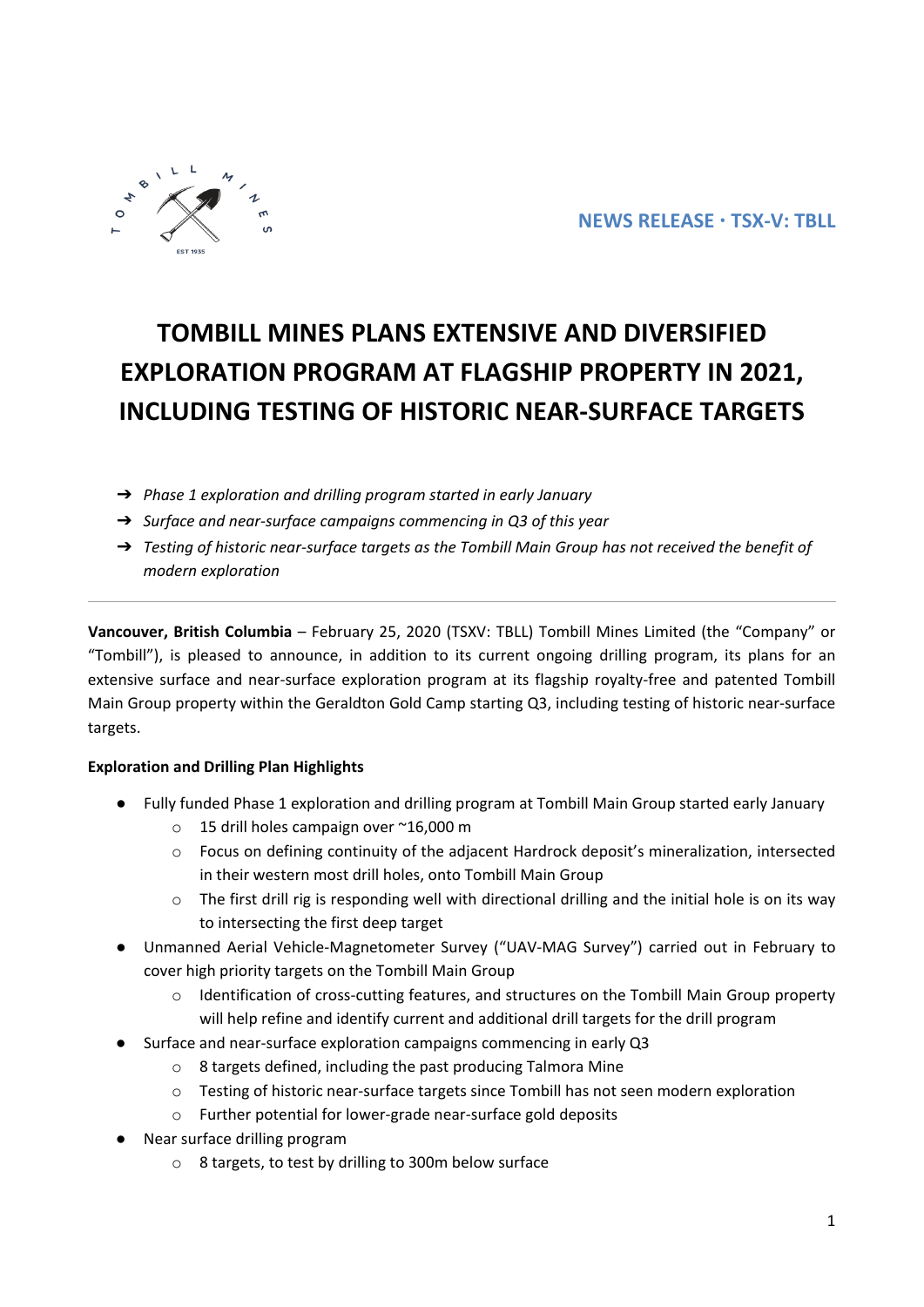# **TOMBILL MINES PLANS EXTENSIVE AND DIVERSIFIED EXPLORATION PROGRAM AT FLAGSHIP PROPERTY IN 2021, INCLUDING TESTING OF HISTORIC NEAR-SURFACE TARGETS**

- ➔ *Phase 1 exploration and drilling program started in early January*
- ➔ *Surface and near-surface campaigns commencing in Q3 of this year*
- ➔ *Testing of historic near-surface targets as the Tombill Main Group has not received the benefit of modern exploration*

**Vancouver, British Columbia** – February 25, 2020 (TSXV: TBLL) Tombill Mines Limited (the "Company" or "Tombill"), is pleased to announce, in addition to its current ongoing drilling program, its plans for an extensive surface and near-surface exploration program at its flagship royalty-free and patented Tombill Main Group property within the Geraldton Gold Camp starting Q3, including testing of historic near-surface targets.

## **Exploration and Drilling Plan Highlights**

- Fully funded Phase 1 exploration and drilling program at Tombill Main Group started early January
	- o 15 drill holes campaign over ~16,000 m
	- o Focus on defining continuity of the adjacent Hardrock deposit's mineralization, intersected in their western most drill holes, onto Tombill Main Group
	- o The first drill rig is responding well with directional drilling and the initial hole is on its way to intersecting the first deep target
- Unmanned Aerial Vehicle-Magnetometer Survey ("UAV-MAG Survey") carried out in February to cover high priority targets on the Tombill Main Group
	- $\circ$  Identification of cross-cutting features, and structures on the Tombill Main Group property will help refine and identify current and additional drill targets for the drill program
- Surface and near-surface exploration campaigns commencing in early Q3
	- o 8 targets defined, including the past producing Talmora Mine
	- o Testing of historic near-surface targets since Tombill has not seen modern exploration
	- o Further potential for lower-grade near-surface gold deposits
- Near surface drilling program
	- o 8 targets, to test by drilling to 300m below surface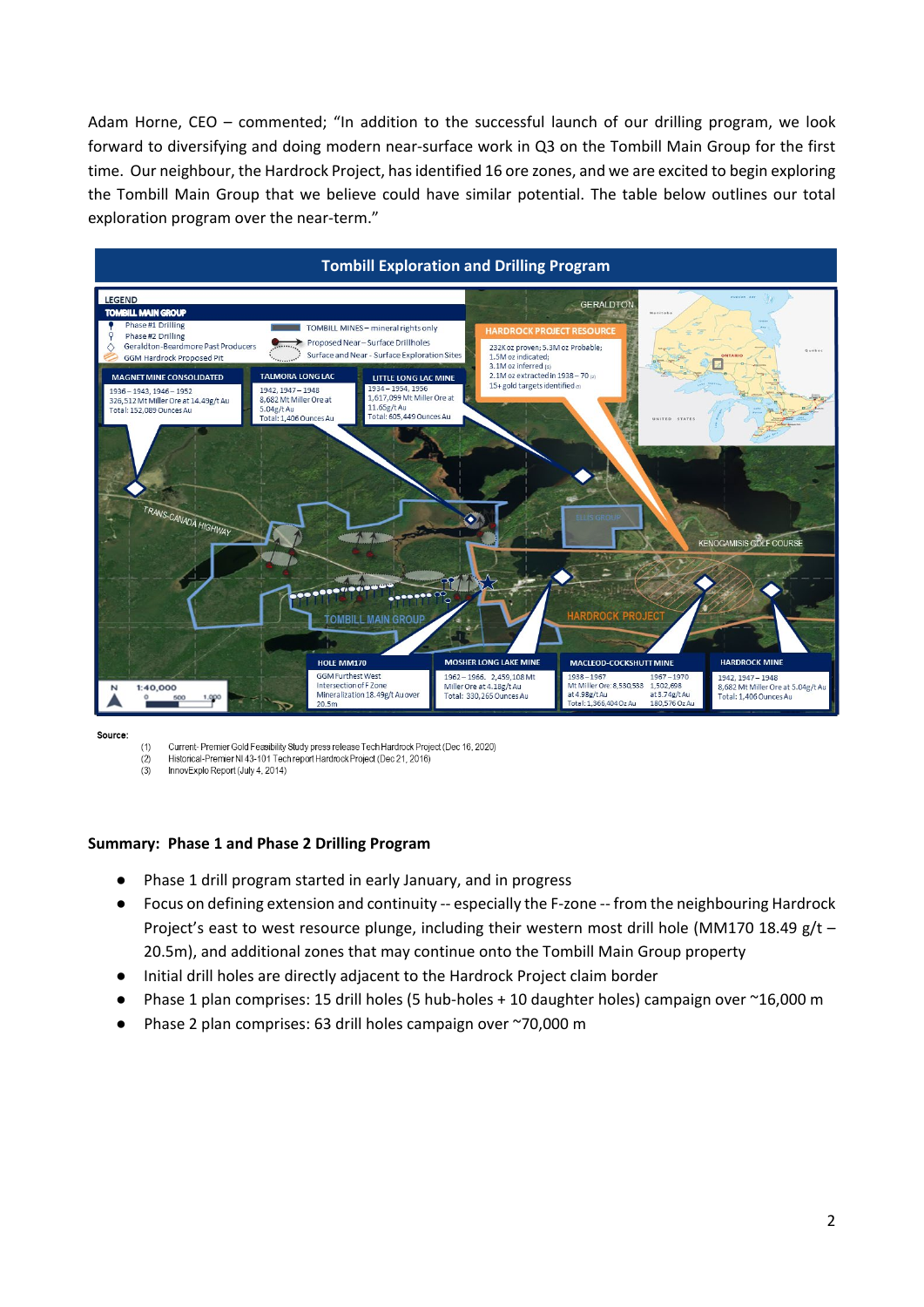Adam Horne, CEO – commented; "In addition to the successful launch of our drilling program, we look forward to diversifying and doing modern near-surface work in Q3 on the Tombill Main Group for the first time. Our neighbour, the Hardrock Project, has identified 16 ore zones, and we are excited to begin exploring the Tombill Main Group that we believe could have similar potential. The table below outlines our total exploration program over the near-term."



Source

Current- Premier Gold Feasibility Study press release Tech Hardrock Project (Dec 16, 2020)  $(1)$ 

- Historical-Premier NI 43-101 Tech report Hardrock Project (Dec 21, 2016)  $(2)$
- $(3)$ InnovExplo Report (July 4, 2014)

#### **Summary: Phase 1 and Phase 2 Drilling Program**

- Phase 1 drill program started in early January, and in progress
- Focus on defining extension and continuity -- especially the F-zone -- from the neighbouring Hardrock Project's east to west resource plunge, including their western most drill hole (MM170 18.49 g/t – 20.5m), and additional zones that may continue onto the Tombill Main Group property
- Initial drill holes are directly adjacent to the Hardrock Project claim border
- Phase 1 plan comprises: 15 drill holes (5 hub-holes + 10 daughter holes) campaign over  $\sim$ 16,000 m
- Phase 2 plan comprises: 63 drill holes campaign over ~70,000 m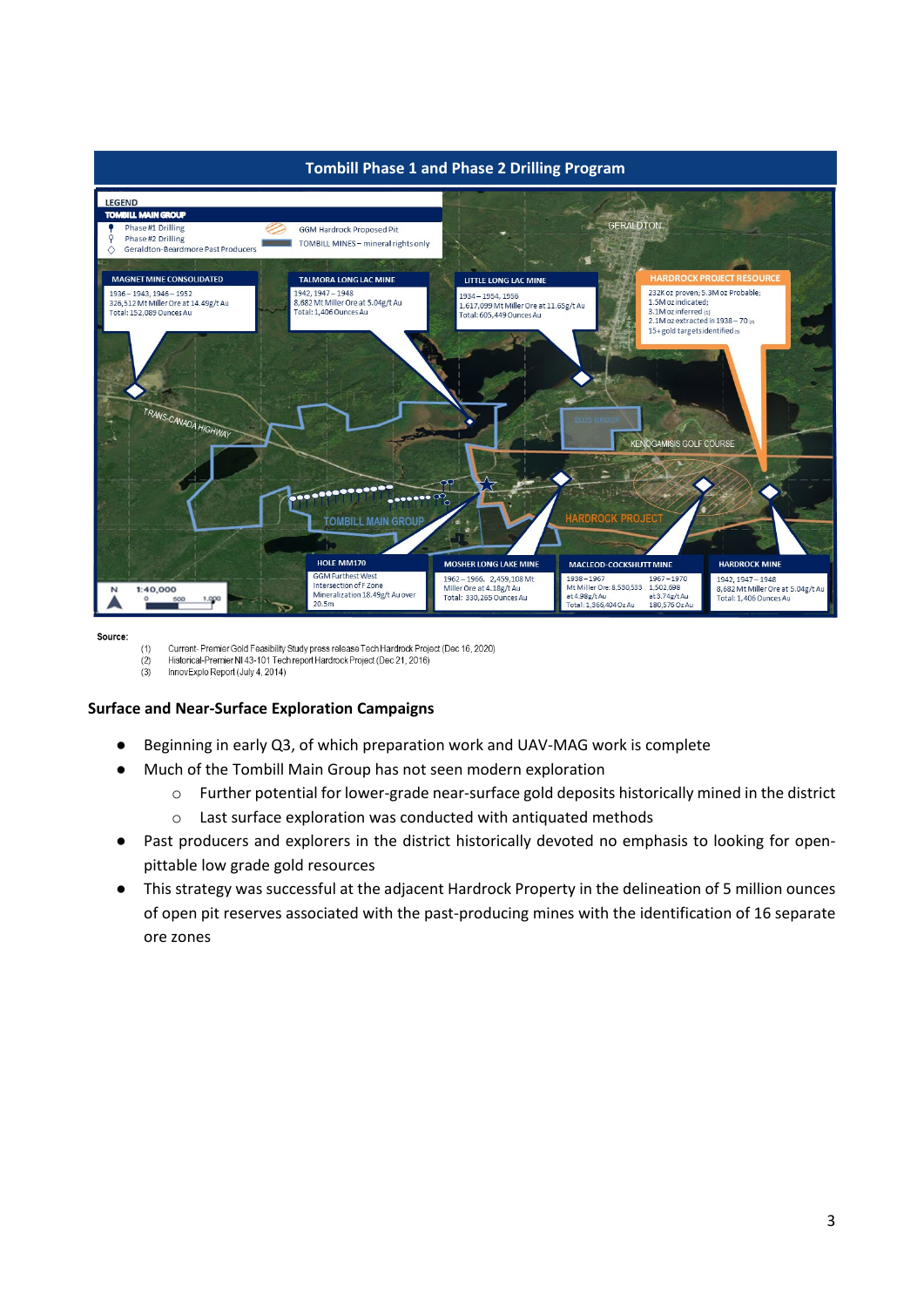

Source:

 $(1)$ Current- Premier Gold Feasibility Study press release Tech Hardrock Project (Dec 16, 2020)

Historical-Premier NI 43-101 Tech report Hardrock Project (Dec 21, 2016)  $(2)$  $(3)$ InnovExplo Report (July 4, 2014)

## **Surface and Near-Surface Exploration Campaigns**

- Beginning in early Q3, of which preparation work and UAV-MAG work is complete
- Much of the Tombill Main Group has not seen modern exploration
	- o Further potential for lower-grade near-surface gold deposits historically mined in the district
	- o Last surface exploration was conducted with antiquated methods
- Past producers and explorers in the district historically devoted no emphasis to looking for openpittable low grade gold resources
- This strategy was successful at the adjacent Hardrock Property in the delineation of 5 million ounces of open pit reserves associated with the past-producing mines with the identification of 16 separate ore zones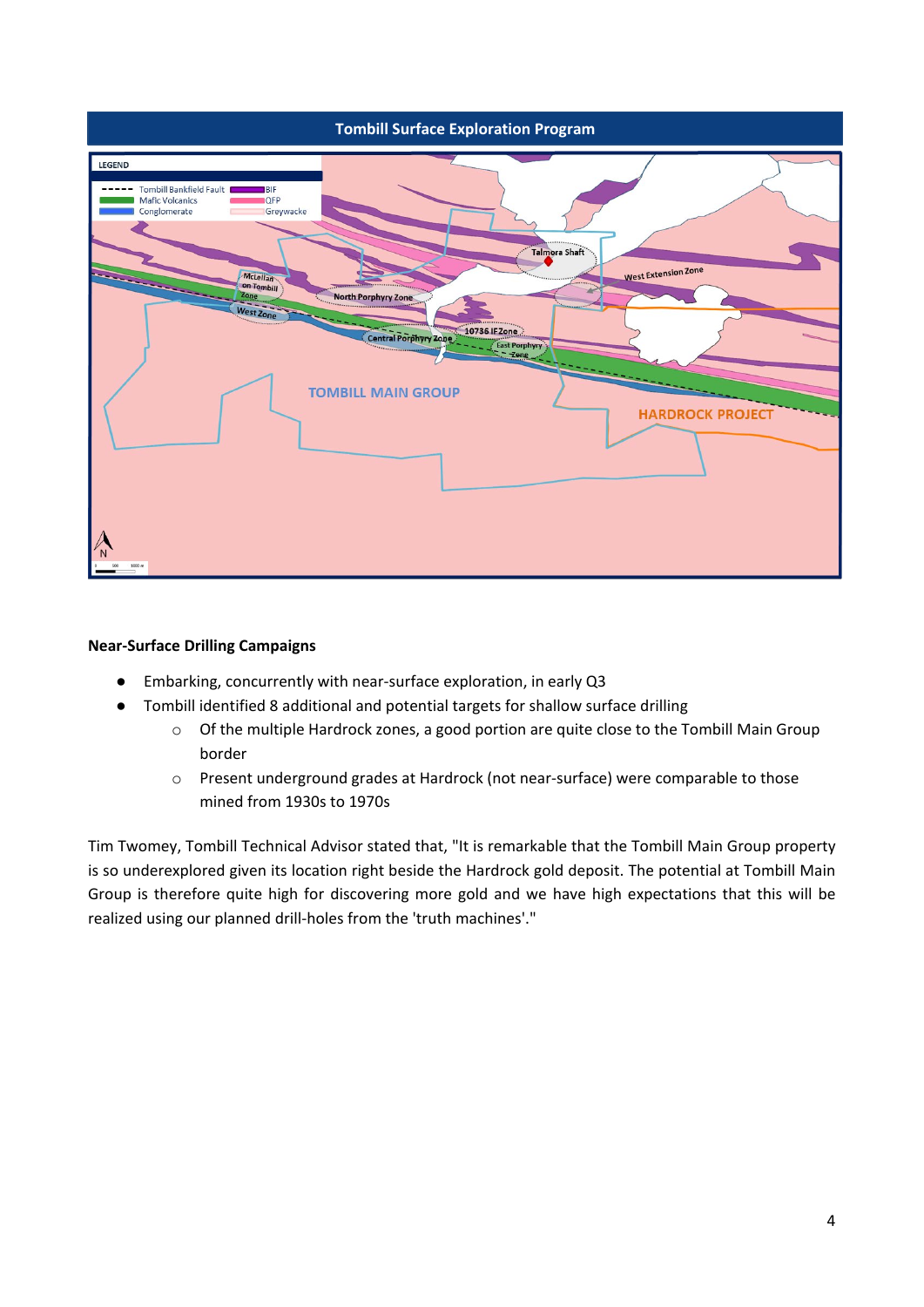

## **Near-Surface Drilling Campaigns**

- Embarking, concurrently with near-surface exploration, in early Q3
- Tombill identified 8 additional and potential targets for shallow surface drilling
	- o Of the multiple Hardrock zones, a good portion are quite close to the Tombill Main Group border
	- o Present underground grades at Hardrock (not near-surface) were comparable to those mined from 1930s to 1970s

Tim Twomey, Tombill Technical Advisor stated that, "It is remarkable that the Tombill Main Group property is so underexplored given its location right beside the Hardrock gold deposit. The potential at Tombill Main Group is therefore quite high for discovering more gold and we have high expectations that this will be realized using our planned drill-holes from the 'truth machines'."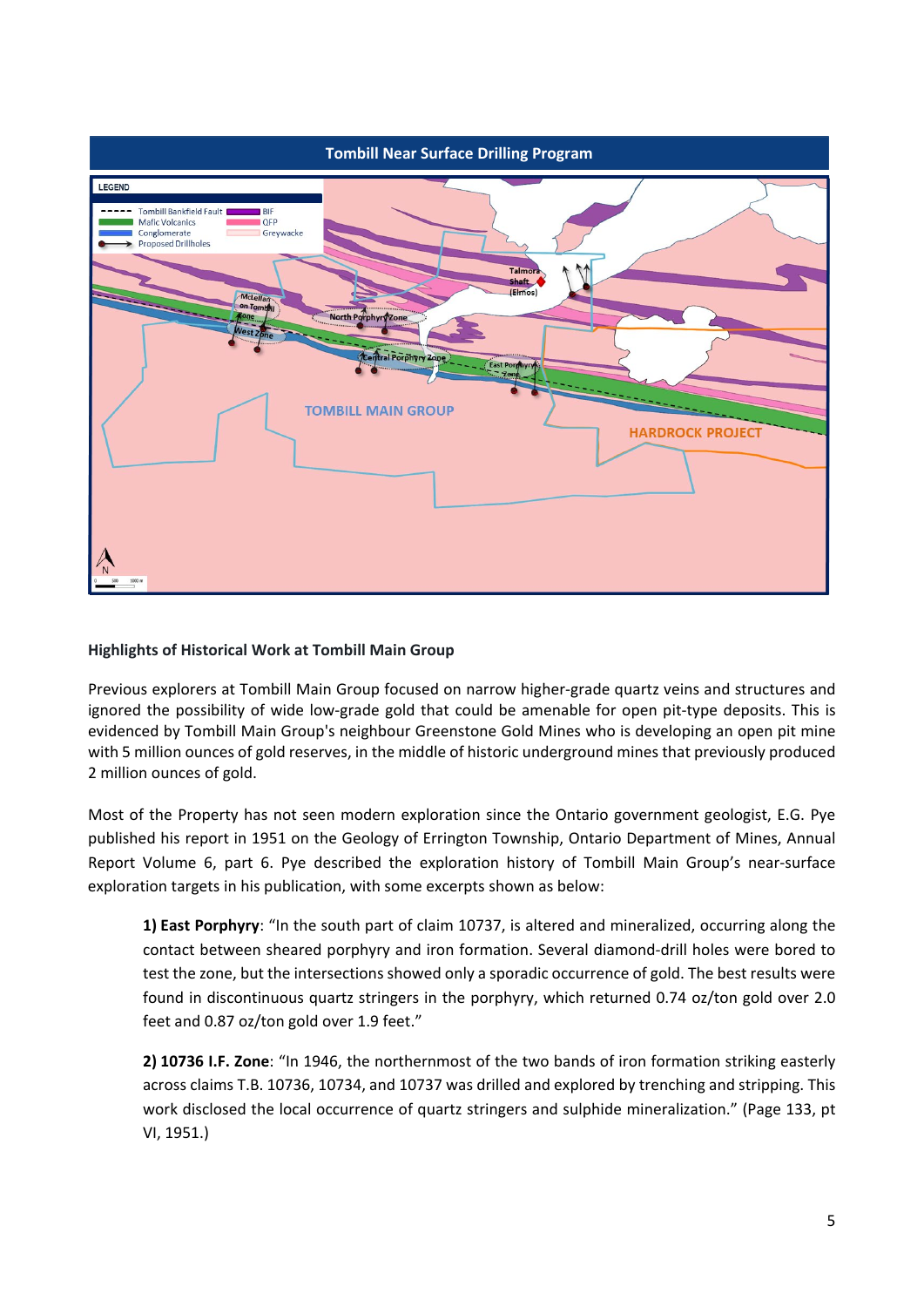

## **Highlights of Historical Work at Tombill Main Group**

Previous explorers at Tombill Main Group focused on narrow higher-grade quartz veins and structures and ignored the possibility of wide low-grade gold that could be amenable for open pit-type deposits. This is evidenced by Tombill Main Group's neighbour Greenstone Gold Mines who is developing an open pit mine with 5 million ounces of gold reserves, in the middle of historic underground mines that previously produced 2 million ounces of gold.

Most of the Property has not seen modern exploration since the Ontario government geologist, E.G. Pye published his report in 1951 on the Geology of Errington Township, Ontario Department of Mines, Annual Report Volume 6, part 6. Pye described the exploration history of Tombill Main Group's near-surface exploration targets in his publication, with some excerpts shown as below:

**1) East Porphyry**: "In the south part of claim 10737, is altered and mineralized, occurring along the contact between sheared porphyry and iron formation. Several diamond-drill holes were bored to test the zone, but the intersections showed only a sporadic occurrence of gold. The best results were found in discontinuous quartz stringers in the porphyry, which returned 0.74 oz/ton gold over 2.0 feet and 0.87 oz/ton gold over 1.9 feet."

**2) 10736 I.F. Zone**: "In 1946, the northernmost of the two bands of iron formation striking easterly across claims T.B. 10736, 10734, and 10737 was drilled and explored by trenching and stripping. This work disclosed the local occurrence of quartz stringers and sulphide mineralization." (Page 133, pt VI, 1951.)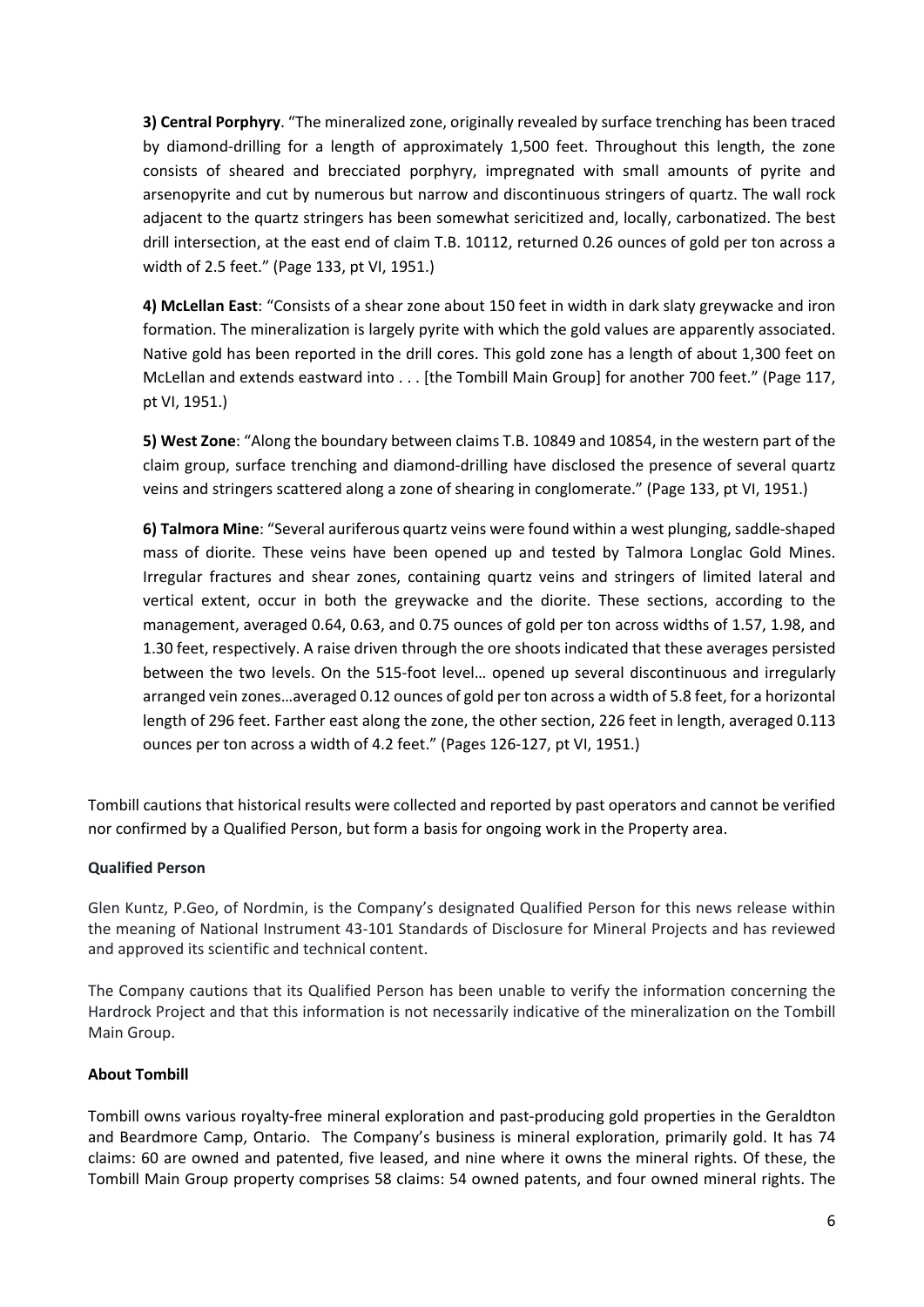**3) Central Porphyry**. "The mineralized zone, originally revealed by surface trenching has been traced by diamond-drilling for a length of approximately 1,500 feet. Throughout this length, the zone consists of sheared and brecciated porphyry, impregnated with small amounts of pyrite and arsenopyrite and cut by numerous but narrow and discontinuous stringers of quartz. The wall rock adjacent to the quartz stringers has been somewhat sericitized and, locally, carbonatized. The best drill intersection, at the east end of claim T.B. 10112, returned 0.26 ounces of gold per ton across a width of 2.5 feet." (Page 133, pt VI, 1951.)

**4) McLellan East**: "Consists of a shear zone about 150 feet in width in dark slaty greywacke and iron formation. The mineralization is largely pyrite with which the gold values are apparently associated. Native gold has been reported in the drill cores. This gold zone has a length of about 1,300 feet on McLellan and extends eastward into . . . [the Tombill Main Group] for another 700 feet." (Page 117, pt VI, 1951.)

**5) West Zone**: "Along the boundary between claims T.B. 10849 and 10854, in the western part of the claim group, surface trenching and diamond-drilling have disclosed the presence of several quartz veins and stringers scattered along a zone of shearing in conglomerate." (Page 133, pt VI, 1951.)

**6) Talmora Mine**: "Several auriferous quartz veins were found within a west plunging, saddle-shaped mass of diorite. These veins have been opened up and tested by Talmora Longlac Gold Mines. Irregular fractures and shear zones, containing quartz veins and stringers of limited lateral and vertical extent, occur in both the greywacke and the diorite. These sections, according to the management, averaged 0.64, 0.63, and 0.75 ounces of gold per ton across widths of 1.57, 1.98, and 1.30 feet, respectively. A raise driven through the ore shoots indicated that these averages persisted between the two levels. On the 515-foot level… opened up several discontinuous and irregularly arranged vein zones…averaged 0.12 ounces of gold per ton across a width of 5.8 feet, for a horizontal length of 296 feet. Farther east along the zone, the other section, 226 feet in length, averaged 0.113 ounces per ton across a width of 4.2 feet." (Pages 126-127, pt VI, 1951.)

Tombill cautions that historical results were collected and reported by past operators and cannot be verified nor confirmed by a Qualified Person, but form a basis for ongoing work in the Property area.

## **Qualified Person**

Glen Kuntz, P.Geo, of Nordmin, is the Company's designated Qualified Person for this news release within the meaning of National Instrument 43-101 Standards of Disclosure for Mineral Projects and has reviewed and approved its scientific and technical content.

The Company cautions that its Qualified Person has been unable to verify the information concerning the Hardrock Project and that this information is not necessarily indicative of the mineralization on the Tombill Main Group.

## **About Tombill**

Tombill owns various royalty-free mineral exploration and past-producing gold properties in the Geraldton and Beardmore Camp, Ontario. The Company's business is mineral exploration, primarily gold. It has 74 claims: 60 are owned and patented, five leased, and nine where it owns the mineral rights. Of these, the Tombill Main Group property comprises 58 claims: 54 owned patents, and four owned mineral rights. The